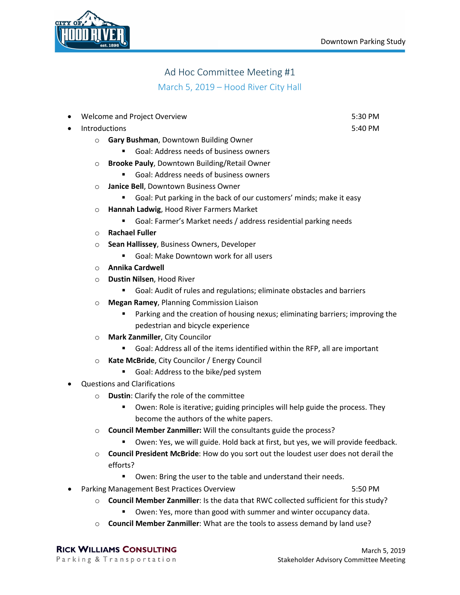

## Ad Hoc Committee Meeting #1 March 5, 2019 – Hood River City Hall

| $\bullet$ |                                                                                                | Welcome and Project Overview                                                        | 5:30 PM |  |
|-----------|------------------------------------------------------------------------------------------------|-------------------------------------------------------------------------------------|---------|--|
| $\bullet$ | Introductions                                                                                  |                                                                                     | 5:40 PM |  |
|           | $\circ$                                                                                        | Gary Bushman, Downtown Building Owner                                               |         |  |
|           |                                                                                                | Goal: Address needs of business owners                                              |         |  |
|           | $\circ$                                                                                        | Brooke Pauly, Downtown Building/Retail Owner                                        |         |  |
|           |                                                                                                | Goal: Address needs of business owners                                              |         |  |
|           | $\circ$                                                                                        | Janice Bell, Downtown Business Owner                                                |         |  |
|           |                                                                                                | Goal: Put parking in the back of our customers' minds; make it easy                 |         |  |
|           | $\circ$                                                                                        | Hannah Ladwig, Hood River Farmers Market                                            |         |  |
|           |                                                                                                | Goal: Farmer's Market needs / address residential parking needs<br>٠                |         |  |
|           | $\circ$                                                                                        | <b>Rachael Fuller</b>                                                               |         |  |
|           | $\circ$                                                                                        | Sean Hallissey, Business Owners, Developer                                          |         |  |
|           |                                                                                                | Goal: Make Downtown work for all users<br>Ξ                                         |         |  |
|           | $\circ$                                                                                        | <b>Annika Cardwell</b>                                                              |         |  |
|           | O                                                                                              | Dustin Nilsen, Hood River                                                           |         |  |
|           |                                                                                                | Goal: Audit of rules and regulations; eliminate obstacles and barriers              |         |  |
|           | $\circ$                                                                                        | <b>Megan Ramey, Planning Commission Liaison</b>                                     |         |  |
|           |                                                                                                | Parking and the creation of housing nexus; eliminating barriers; improving the<br>٠ |         |  |
|           |                                                                                                | pedestrian and bicycle experience                                                   |         |  |
|           | $\circ$                                                                                        | Mark Zanmiller, City Councilor                                                      |         |  |
|           |                                                                                                | Goal: Address all of the items identified within the RFP, all are important         |         |  |
|           | $\circ$                                                                                        | Kate McBride, City Councilor / Energy Council                                       |         |  |
|           |                                                                                                | Goal: Address to the bike/ped system                                                |         |  |
| $\bullet$ | <b>Questions and Clarifications</b>                                                            |                                                                                     |         |  |
|           | $\circ$                                                                                        | Dustin: Clarify the role of the committee                                           |         |  |
|           |                                                                                                | Owen: Role is iterative; guiding principles will help guide the process. They<br>Ξ  |         |  |
|           |                                                                                                | become the authors of the white papers.                                             |         |  |
|           | $\circ$                                                                                        | Council Member Zanmiller: Will the consultants guide the process?                   |         |  |
|           |                                                                                                | Owen: Yes, we will guide. Hold back at first, but yes, we will provide feedback.    |         |  |
|           | Council President McBride: How do you sort out the loudest user does not derail the<br>$\circ$ |                                                                                     |         |  |
|           |                                                                                                | efforts?                                                                            |         |  |
|           |                                                                                                | Owen: Bring the user to the table and understand their needs.                       |         |  |
| $\bullet$ |                                                                                                | Parking Management Best Practices Overview                                          | 5:50 PM |  |

- o **Council Member Zanmiller**: Is the data that RWC collected sufficient for this study?
	- Owen: Yes, more than good with summer and winter occupancy data.
- o **Council Member Zanmiller**: What are the tools to assess demand by land use?

**RICK WILLIAMS CONSULTING** Parking & Transportation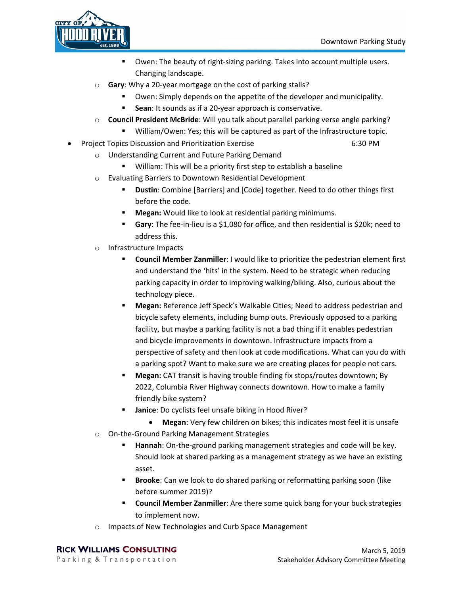

- Owen: The beauty of right-sizing parking. Takes into account multiple users. Changing landscape.
- o **Gary**: Why a 20-year mortgage on the cost of parking stalls?
	- Owen: Simply depends on the appetite of the developer and municipality.
		- **Sean**: It sounds as if a 20-year approach is conservative.
- o **Council President McBride**: Will you talk about parallel parking verse angle parking?
	- William/Owen: Yes; this will be captured as part of the Infrastructure topic.
- Project Topics Discussion and Prioritization Exercise 6:30 PM
	- o Understanding Current and Future Parking Demand
		- William: This will be a priority first step to establish a baseline
	- o Evaluating Barriers to Downtown Residential Development
		- **Dustin**: Combine [Barriers] and [Code] together. Need to do other things first before the code.
		- **Megan:** Would like to look at residential parking minimums.
		- **Gary**: The fee-in-lieu is a \$1,080 for office, and then residential is \$20k; need to address this.
	- o Infrastructure Impacts
		- **Council Member Zanmiller**: I would like to prioritize the pedestrian element first and understand the 'hits' in the system. Need to be strategic when reducing parking capacity in order to improving walking/biking. Also, curious about the technology piece.
		- **Megan:** Reference Jeff Speck's Walkable Cities; Need to address pedestrian and bicycle safety elements, including bump outs. Previously opposed to a parking facility, but maybe a parking facility is not a bad thing if it enables pedestrian and bicycle improvements in downtown. Infrastructure impacts from a perspective of safety and then look at code modifications. What can you do with a parking spot? Want to make sure we are creating places for people not cars.
		- **Megan:** CAT transit is having trouble finding fix stops/routes downtown; By 2022, Columbia River Highway connects downtown. How to make a family friendly bike system?
		- **Janice**: Do cyclists feel unsafe biking in Hood River?
			- **Megan**: Very few children on bikes; this indicates most feel it is unsafe
	- o On-the-Ground Parking Management Strategies
		- **Hannah**: On-the-ground parking management strategies and code will be key. Should look at shared parking as a management strategy as we have an existing asset.
		- **Brooke**: Can we look to do shared parking or reformatting parking soon (like before summer 2019)?
		- **Council Member Zanmiller**: Are there some quick bang for your buck strategies to implement now.
	- o Impacts of New Technologies and Curb Space Management

**RICK WILLIAMS CONSULTING** Parking & Transportation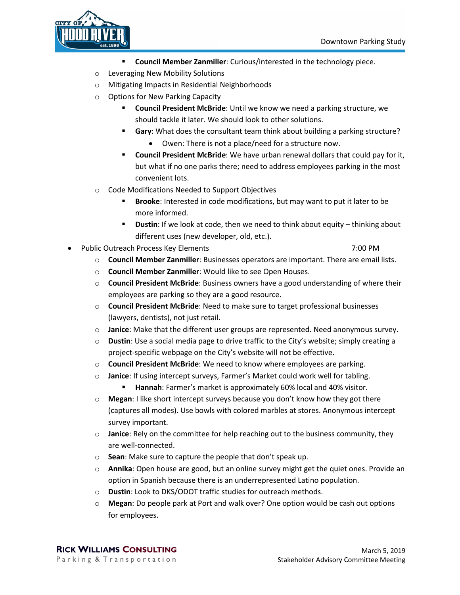

- **Council Member Zanmiller**: Curious/interested in the technology piece.
- o Leveraging New Mobility Solutions
- o Mitigating Impacts in Residential Neighborhoods
- o Options for New Parking Capacity
	- **Council President McBride**: Until we know we need a parking structure, we should tackle it later. We should look to other solutions.
	- **Gary**: What does the consultant team think about building a parking structure?
		- Owen: There is not a place/need for a structure now.
	- **Council President McBride**: We have urban renewal dollars that could pay for it, but what if no one parks there; need to address employees parking in the most convenient lots.
- o Code Modifications Needed to Support Objectives
	- **Brooke**: Interested in code modifications, but may want to put it later to be more informed.
	- **Dustin**: If we look at code, then we need to think about equity thinking about different uses (new developer, old, etc.).
- Public Outreach Process Key Elements 7:00 PM

- o **Council Member Zanmiller**: Businesses operators are important. There are email lists.
- o **Council Member Zanmiller**: Would like to see Open Houses.
- o **Council President McBride**: Business owners have a good understanding of where their employees are parking so they are a good resource.
- o **Council President McBride**: Need to make sure to target professional businesses (lawyers, dentists), not just retail.
- o **Janice**: Make that the different user groups are represented. Need anonymous survey.
- o **Dustin**: Use a social media page to drive traffic to the City's website; simply creating a project-specific webpage on the City's website will not be effective.
- o **Council President McBride**: We need to know where employees are parking.
- o **Janice**: If using intercept surveys, Farmer's Market could work well for tabling.
	- **Hannah:** Farmer's market is approximately 60% local and 40% visitor.
- o **Megan**: I like short intercept surveys because you don't know how they got there (captures all modes). Use bowls with colored marbles at stores. Anonymous intercept survey important.
- o **Janice**: Rely on the committee for help reaching out to the business community, they are well-connected.
- o **Sean**: Make sure to capture the people that don't speak up.
- o **Annika**: Open house are good, but an online survey might get the quiet ones. Provide an option in Spanish because there is an underrepresented Latino population.
- o **Dustin**: Look to DKS/ODOT traffic studies for outreach methods.
- o **Megan**: Do people park at Port and walk over? One option would be cash out options for employees.